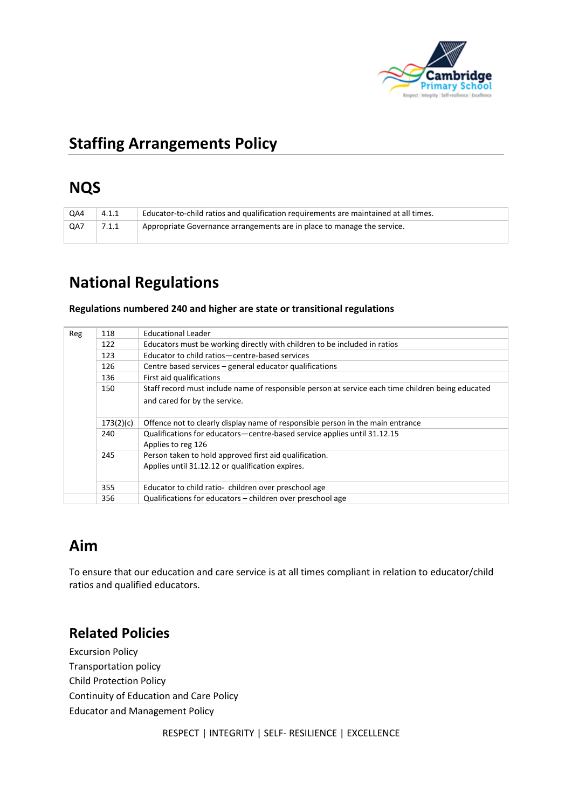

# **Staffing Arrangements Policy**

## **NQS**

| QA4 | 4.1.1 | Educator-to-child ratios and qualification requirements are maintained at all times. |
|-----|-------|--------------------------------------------------------------------------------------|
| QA7 | 7.1.1 | Appropriate Governance arrangements are in place to manage the service.              |

# **National Regulations**

#### **Regulations numbered 240 and higher are state or transitional regulations**

| Reg | 118       | Educational Leader                                                                                         |  |  |
|-----|-----------|------------------------------------------------------------------------------------------------------------|--|--|
|     | 122       | Educators must be working directly with children to be included in ratios                                  |  |  |
|     | 123       | Educator to child ratios-centre-based services                                                             |  |  |
|     | 126       | Centre based services – general educator qualifications                                                    |  |  |
|     | 136       | First aid qualifications                                                                                   |  |  |
|     | 150       | Staff record must include name of responsible person at service each time children being educated          |  |  |
|     |           | and cared for by the service.                                                                              |  |  |
|     | 173(2)(c) | Offence not to clearly display name of responsible person in the main entrance                             |  |  |
|     | 240       | Qualifications for educators-centre-based service applies until 31.12.15<br>Applies to reg 126             |  |  |
|     | 245       | Person taken to hold approved first aid qualification.<br>Applies until 31.12.12 or qualification expires. |  |  |
|     | 355       | Educator to child ratio- children over preschool age                                                       |  |  |
|     | 356       | Qualifications for educators – children over preschool age                                                 |  |  |

# **Aim**

To ensure that our education and care service is at all times compliant in relation to educator/child ratios and qualified educators.

### **Related Policies**

Excursion Policy Transportation policy Child Protection Policy Continuity of Education and Care Policy Educator and Management Policy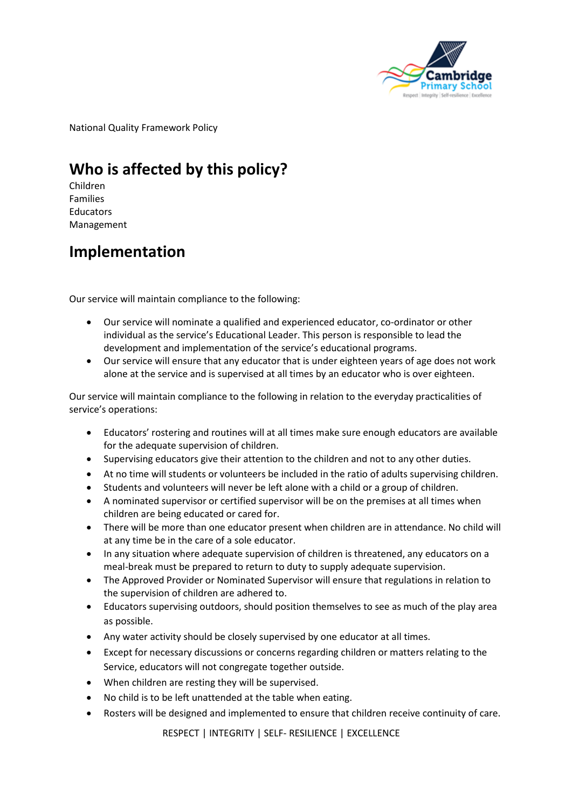

National Quality Framework Policy

# **Who is affected by this policy?**

Children Families **Educators** Management

### **Implementation**

Our service will maintain compliance to the following:

- Our service will nominate a qualified and experienced educator, co-ordinator or other individual as the service's Educational Leader. This person is responsible to lead the development and implementation of the service's educational programs.
- Our service will ensure that any educator that is under eighteen years of age does not work alone at the service and is supervised at all times by an educator who is over eighteen.

Our service will maintain compliance to the following in relation to the everyday practicalities of service's operations:

- Educators' rostering and routines will at all times make sure enough educators are available for the adequate supervision of children.
- Supervising educators give their attention to the children and not to any other duties.
- At no time will students or volunteers be included in the ratio of adults supervising children.
- Students and volunteers will never be left alone with a child or a group of children.
- A nominated supervisor or certified supervisor will be on the premises at all times when children are being educated or cared for.
- There will be more than one educator present when children are in attendance. No child will at any time be in the care of a sole educator.
- In any situation where adequate supervision of children is threatened, any educators on a meal-break must be prepared to return to duty to supply adequate supervision.
- The Approved Provider or Nominated Supervisor will ensure that regulations in relation to the supervision of children are adhered to.
- Educators supervising outdoors, should position themselves to see as much of the play area as possible.
- Any water activity should be closely supervised by one educator at all times.
- Except for necessary discussions or concerns regarding children or matters relating to the Service, educators will not congregate together outside.
- When children are resting they will be supervised.
- No child is to be left unattended at the table when eating.
- Rosters will be designed and implemented to ensure that children receive continuity of care.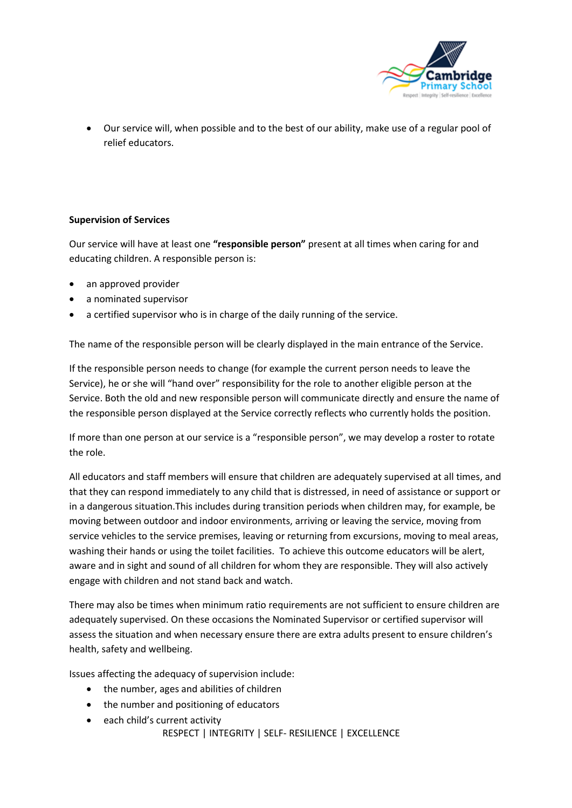

• Our service will, when possible and to the best of our ability, make use of a regular pool of relief educators.

#### **Supervision of Services**

Our service will have at least one **"responsible person"** present at all times when caring for and educating children. A responsible person is:

- an approved provider
- a nominated supervisor
- a certified supervisor who is in charge of the daily running of the service.

The name of the responsible person will be clearly displayed in the main entrance of the Service.

If the responsible person needs to change (for example the current person needs to leave the Service), he or she will "hand over" responsibility for the role to another eligible person at the Service. Both the old and new responsible person will communicate directly and ensure the name of the responsible person displayed at the Service correctly reflects who currently holds the position.

If more than one person at our service is a "responsible person", we may develop a roster to rotate the role.

All educators and staff members will ensure that children are adequately supervised at all times, and that they can respond immediately to any child that is distressed, in need of assistance or support or in a dangerous situation.This includes during transition periods when children may, for example, be moving between outdoor and indoor environments, arriving or leaving the service, moving from service vehicles to the service premises, leaving or returning from excursions, moving to meal areas, washing their hands or using the toilet facilities. To achieve this outcome educators will be alert, aware and in sight and sound of all children for whom they are responsible. They will also actively engage with children and not stand back and watch.

There may also be times when minimum ratio requirements are not sufficient to ensure children are adequately supervised. On these occasions the Nominated Supervisor or certified supervisor will assess the situation and when necessary ensure there are extra adults present to ensure children's health, safety and wellbeing.

Issues affecting the adequacy of supervision include:

- the number, ages and abilities of children
- the number and positioning of educators
- each child's current activity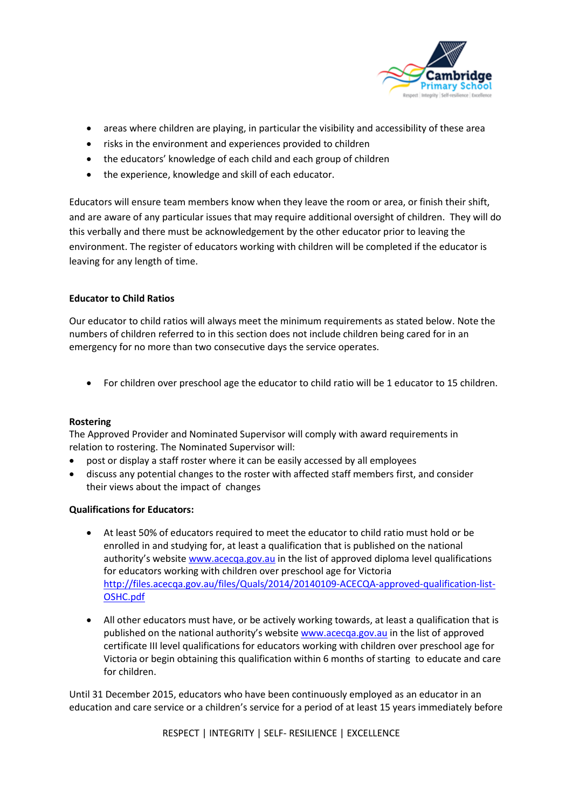

- areas where children are playing, in particular the visibility and accessibility of these area
- risks in the environment and experiences provided to children
- the educators' knowledge of each child and each group of children
- the experience, knowledge and skill of each educator.

Educators will ensure team members know when they leave the room or area, or finish their shift, and are aware of any particular issues that may require additional oversight of children. They will do this verbally and there must be acknowledgement by the other educator prior to leaving the environment. The register of educators working with children will be completed if the educator is leaving for any length of time.

#### **Educator to Child Ratios**

Our educator to child ratios will always meet the minimum requirements as stated below. Note the numbers of children referred to in this section does not include children being cared for in an emergency for no more than two consecutive days the service operates.

• For children over preschool age the educator to child ratio will be 1 educator to 15 children.

#### **Rostering**

The Approved Provider and Nominated Supervisor will comply with award requirements in relation to rostering. The Nominated Supervisor will:

- post or display a staff roster where it can be easily accessed by all employees
- discuss any potential changes to the roster with affected staff members first, and consider their views about the impact of changes

#### **Qualifications for Educators:**

- At least 50% of educators required to meet the educator to child ratio must hold or be enrolled in and studying for, at least a qualification that is published on the national authority's website [www.acecqa.gov.au](http://www.acecqa.gov.au/) in the list of approved diploma level qualifications for educators working with children over preschool age for Victoria [http://files.acecqa.gov.au/files/Quals/2014/20140109-ACECQA-approved-qualification-list-](http://files.acecqa.gov.au/files/Quals/2014/20140109-ACECQA-approved-qualification-list-OSHC.pdf)[OSHC.pdf](http://files.acecqa.gov.au/files/Quals/2014/20140109-ACECQA-approved-qualification-list-OSHC.pdf)
- All other educators must have, or be actively working towards, at least a qualification that is published on the national authority's website [www.acecqa.gov.au](http://www.acecqa.gov.au/) in the list of approved certificate III level qualifications for educators working with children over preschool age for Victoria or begin obtaining this qualification within 6 months of starting to educate and care for children.

Until 31 December 2015, educators who have been continuously employed as an educator in an education and care service or a children's service for a period of at least 15 years immediately before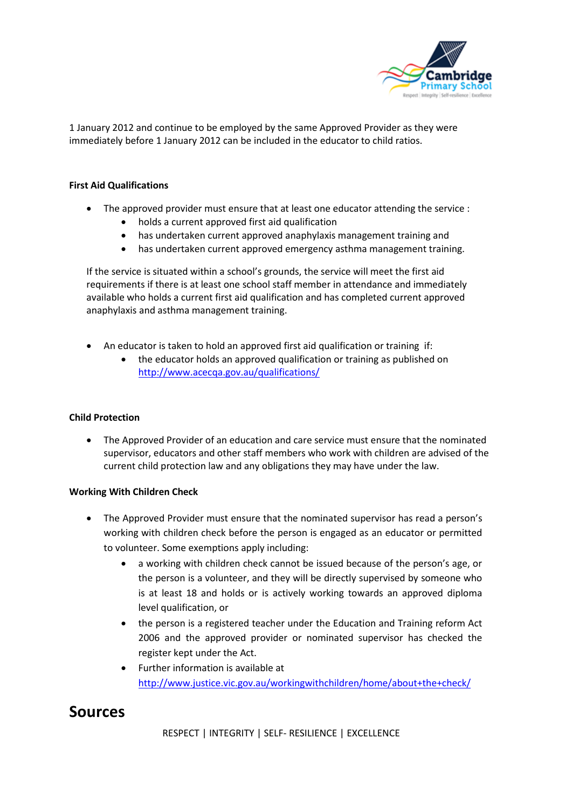

1 January 2012 and continue to be employed by the same Approved Provider as they were immediately before 1 January 2012 can be included in the educator to child ratios.

#### **First Aid Qualifications**

- The approved provider must ensure that at least one educator attending the service :
	- holds a current approved first aid qualification
	- has undertaken current approved anaphylaxis management training and
	- has undertaken current approved emergency asthma management training.

If the service is situated within a school's grounds, the service will meet the first aid requirements if there is at least one school staff member in attendance and immediately available who holds a current first aid qualification and has completed current approved anaphylaxis and asthma management training.

- An educator is taken to hold an approved first aid qualification or training if:
	- the educator holds an approved qualification or training as published on <http://www.acecqa.gov.au/qualifications/>

#### **Child Protection**

• The Approved Provider of an education and care service must ensure that the nominated supervisor, educators and other staff members who work with children are advised of the current child protection law and any obligations they may have under the law.

#### **Working With Children Check**

- The Approved Provider must ensure that the nominated supervisor has read a person's working with children check before the person is engaged as an educator or permitted to volunteer. Some exemptions apply including:
	- a working with children check cannot be issued because of the person's age, or the person is a volunteer, and they will be directly supervised by someone who is at least 18 and holds or is actively working towards an approved diploma level qualification, or
	- the person is a registered teacher under the Education and Training reform Act 2006 and the approved provider or nominated supervisor has checked the register kept under the Act.
	- Further information is available at <http://www.justice.vic.gov.au/workingwithchildren/home/about+the+check/>

### **Sources**